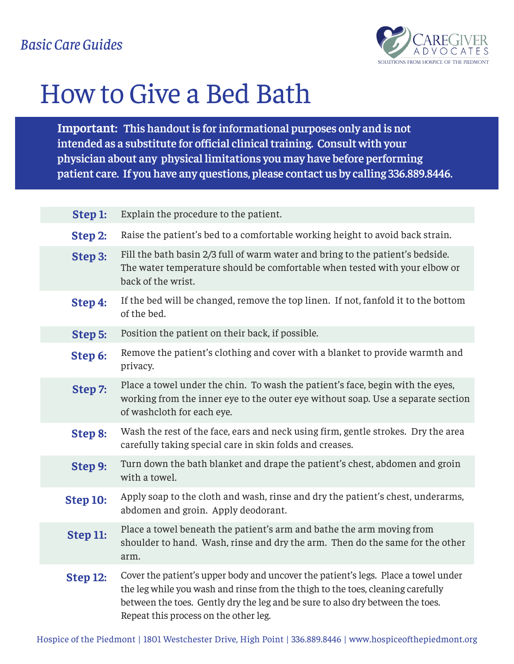

## How to Give a Bed Bath

**Important: This handout is for informational purposes only and is not intended as a substitute for official clinical training. Consult with your physician about any physical limitations you may have before performing patient care. If you have any questions, please contact us by calling 336.889.8446.**

| Step 1:  | Explain the procedure to the patient.                                                                                                                                                                                                                                                            |
|----------|--------------------------------------------------------------------------------------------------------------------------------------------------------------------------------------------------------------------------------------------------------------------------------------------------|
| Step 2:  | Raise the patient's bed to a comfortable working height to avoid back strain.                                                                                                                                                                                                                    |
| Step 3:  | Fill the bath basin 2/3 full of warm water and bring to the patient's bedside.<br>The water temperature should be comfortable when tested with your elbow or<br>back of the wrist.                                                                                                               |
| Step 4:  | If the bed will be changed, remove the top linen. If not, fanfold it to the bottom<br>of the bed.                                                                                                                                                                                                |
| Step 5:  | Position the patient on their back, if possible.                                                                                                                                                                                                                                                 |
| Step 6:  | Remove the patient's clothing and cover with a blanket to provide warmth and<br>privacy.                                                                                                                                                                                                         |
| Step 7:  | Place a towel under the chin. To wash the patient's face, begin with the eyes,<br>working from the inner eye to the outer eye without soap. Use a separate section<br>of washcloth for each eye.                                                                                                 |
| Step 8:  | Wash the rest of the face, ears and neck using firm, gentle strokes. Dry the area<br>carefully taking special care in skin folds and creases.                                                                                                                                                    |
| Step 9:  | Turn down the bath blanket and drape the patient's chest, abdomen and groin<br>with a towel.                                                                                                                                                                                                     |
| Step 10: | Apply soap to the cloth and wash, rinse and dry the patient's chest, underarms,<br>abdomen and groin. Apply deodorant.                                                                                                                                                                           |
| Step 11: | Place a towel beneath the patient's arm and bathe the arm moving from<br>shoulder to hand. Wash, rinse and dry the arm. Then do the same for the other<br>arm.                                                                                                                                   |
| Step 12: | Cover the patient's upper body and uncover the patient's legs. Place a towel under<br>the leg while you wash and rinse from the thigh to the toes, cleaning carefully<br>between the toes. Gently dry the leg and be sure to also dry between the toes.<br>Repeat this process on the other leg. |